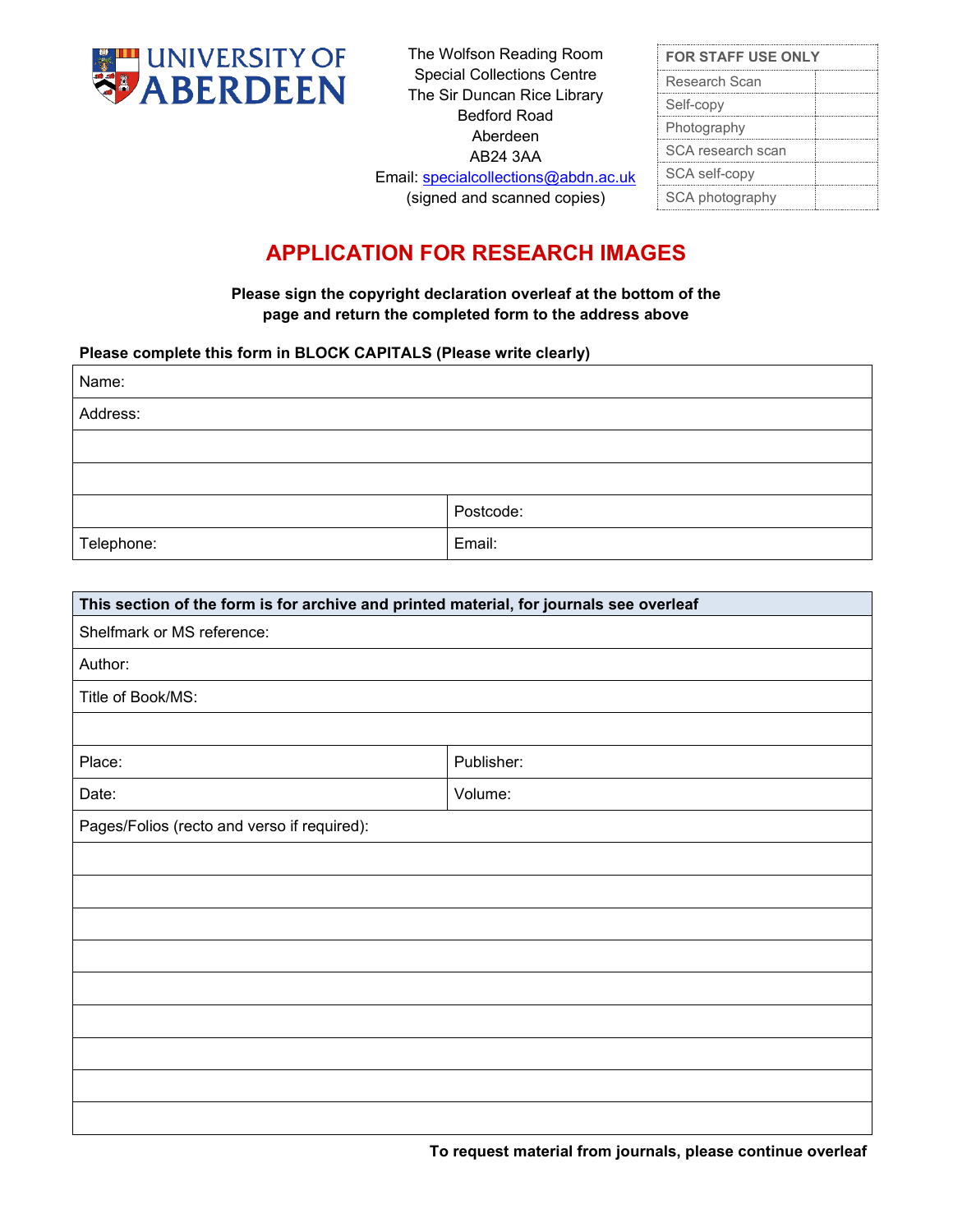

The Wolfson Reading Room Special Collections Centre The Sir Duncan Rice Library Bedford Road Aberdeen AB24 3AA

| <b>FOR STAFF USE ONLY</b> |
|---------------------------|
| Research Scan             |
| Self-copy                 |
| Photography               |
| SCA research scan         |
| SCA self-copy             |
| SCA photography           |
|                           |

## Email: [specialcollections@abdn.ac.uk](mailto:specilib@abdn.ac.uk) (signed and scanned copies)

## **APPLICATION FOR RESEARCH IMAGES**

**Please sign the copyright declaration overleaf at the bottom of the page and return the completed form to the address above**

## **Please complete this form in BLOCK CAPITALS (Please write clearly)**

| Name:      |           |
|------------|-----------|
| Address:   |           |
|            |           |
|            |           |
|            | Postcode: |
| Telephone: | Email:    |

| This section of the form is for archive and printed material, for journals see overleaf |            |  |  |  |
|-----------------------------------------------------------------------------------------|------------|--|--|--|
| Shelfmark or MS reference:                                                              |            |  |  |  |
| Author:                                                                                 |            |  |  |  |
| Title of Book/MS:                                                                       |            |  |  |  |
|                                                                                         |            |  |  |  |
| Place:                                                                                  | Publisher: |  |  |  |
| Date:                                                                                   | Volume:    |  |  |  |
| Pages/Folios (recto and verso if required):                                             |            |  |  |  |
|                                                                                         |            |  |  |  |
|                                                                                         |            |  |  |  |
|                                                                                         |            |  |  |  |
|                                                                                         |            |  |  |  |
|                                                                                         |            |  |  |  |
|                                                                                         |            |  |  |  |
|                                                                                         |            |  |  |  |
|                                                                                         |            |  |  |  |
|                                                                                         |            |  |  |  |